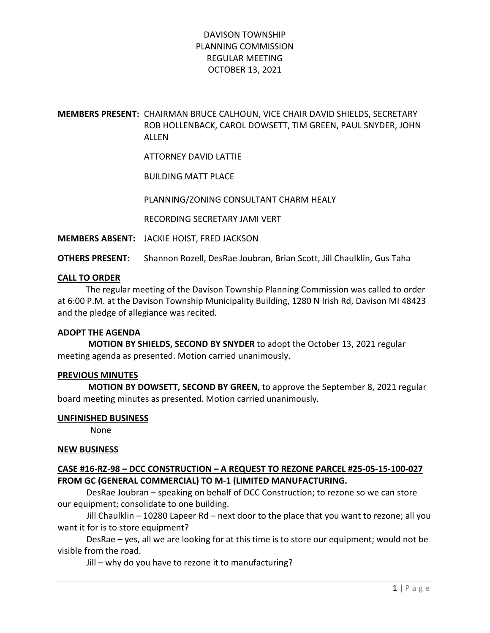#### MEMBERS PRESENT: CHAIRMAN BRUCE CALHOUN, VICE CHAIR DAVID SHIELDS, SECRETARY ROB HOLLENBACK, CAROL DOWSETT, TIM GREEN, PAUL SNYDER, JOHN ALLEN

ATTORNEY DAVID LATTIE

BUILDING MATT PLACE

PLANNING/ZONING CONSULTANT CHARM HEALY

RECORDING SECRETARY JAMI VERT

MEMBERS ABSENT: JACKIE HOIST, FRED JACKSON

OTHERS PRESENT: Shannon Rozell, DesRae Joubran, Brian Scott, Jill Chaulklin, Gus Taha

#### CALL TO ORDER

 The regular meeting of the Davison Township Planning Commission was called to order at 6:00 P.M. at the Davison Township Municipality Building, 1280 N Irish Rd, Davison MI 48423 and the pledge of allegiance was recited.

#### ADOPT THE AGENDA

 MOTION BY SHIELDS, SECOND BY SNYDER to adopt the October 13, 2021 regular meeting agenda as presented. Motion carried unanimously.

#### PREVIOUS MINUTES

 MOTION BY DOWSETT, SECOND BY GREEN, to approve the September 8, 2021 regular board meeting minutes as presented. Motion carried unanimously.

#### UNFINISHED BUSINESS

None

#### NEW BUSINESS

#### CASE #16-RZ-98 – DCC CONSTRUCTION – A REQUEST TO REZONE PARCEL #25-05-15-100-027 FROM GC (GENERAL COMMERCIAL) TO M-1 (LIMITED MANUFACTURING.

DesRae Joubran – speaking on behalf of DCC Construction; to rezone so we can store our equipment; consolidate to one building.

Jill Chaulklin – 10280 Lapeer Rd – next door to the place that you want to rezone; all you want it for is to store equipment?

DesRae – yes, all we are looking for at this time is to store our equipment; would not be visible from the road.

Jill – why do you have to rezone it to manufacturing?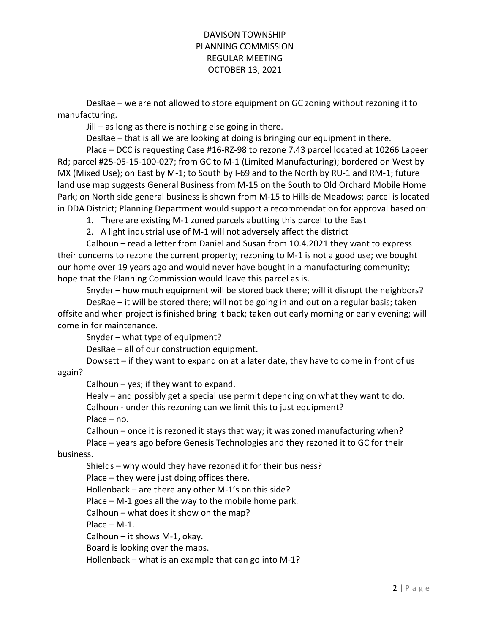DesRae – we are not allowed to store equipment on GC zoning without rezoning it to manufacturing.

Jill – as long as there is nothing else going in there.

DesRae – that is all we are looking at doing is bringing our equipment in there.

Place – DCC is requesting Case #16-RZ-98 to rezone 7.43 parcel located at 10266 Lapeer Rd; parcel #25-05-15-100-027; from GC to M-1 (Limited Manufacturing); bordered on West by MX (Mixed Use); on East by M-1; to South by I-69 and to the North by RU-1 and RM-1; future land use map suggests General Business from M-15 on the South to Old Orchard Mobile Home Park; on North side general business is shown from M-15 to Hillside Meadows; parcel is located in DDA District; Planning Department would support a recommendation for approval based on:

1. There are existing M-1 zoned parcels abutting this parcel to the East

2. A light industrial use of M-1 will not adversely affect the district

Calhoun – read a letter from Daniel and Susan from 10.4.2021 they want to express their concerns to rezone the current property; rezoning to M-1 is not a good use; we bought our home over 19 years ago and would never have bought in a manufacturing community; hope that the Planning Commission would leave this parcel as is.

Snyder – how much equipment will be stored back there; will it disrupt the neighbors?

 DesRae – it will be stored there; will not be going in and out on a regular basis; taken offsite and when project is finished bring it back; taken out early morning or early evening; will come in for maintenance.

Snyder – what type of equipment?

DesRae – all of our construction equipment.

Dowsett – if they want to expand on at a later date, they have to come in front of us

again?

Calhoun – yes; if they want to expand.

 Healy – and possibly get a special use permit depending on what they want to do. Calhoun - under this rezoning can we limit this to just equipment? Place – no.

 Calhoun – once it is rezoned it stays that way; it was zoned manufacturing when? Place – years ago before Genesis Technologies and they rezoned it to GC for their

business.

Shields – why would they have rezoned it for their business?

Place – they were just doing offices there.

Hollenback – are there any other M-1's on this side?

Place – M-1 goes all the way to the mobile home park.

Calhoun – what does it show on the map?

Place – M-1.

Calhoun – it shows M-1, okay.

Board is looking over the maps.

Hollenback – what is an example that can go into M-1?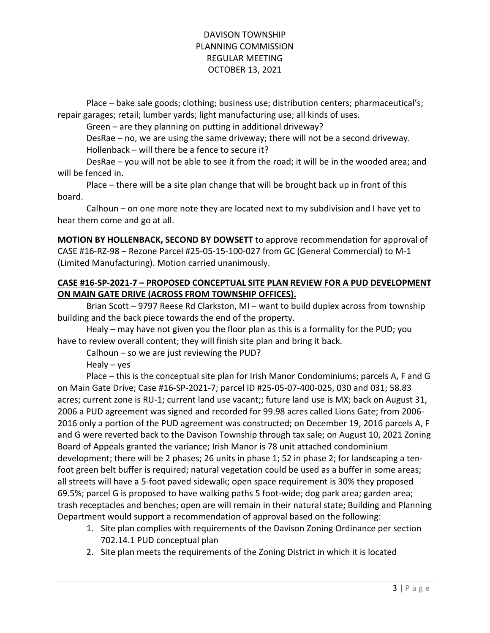Place – bake sale goods; clothing; business use; distribution centers; pharmaceutical's; repair garages; retail; lumber yards; light manufacturing use; all kinds of uses.

Green – are they planning on putting in additional driveway?

 DesRae – no, we are using the same driveway; there will not be a second driveway. Hollenback – will there be a fence to secure it?

 DesRae – you will not be able to see it from the road; it will be in the wooded area; and will be fenced in.

 Place – there will be a site plan change that will be brought back up in front of this board.

 Calhoun – on one more note they are located next to my subdivision and I have yet to hear them come and go at all.

MOTION BY HOLLENBACK, SECOND BY DOWSETT to approve recommendation for approval of CASE #16-RZ-98 – Rezone Parcel #25-05-15-100-027 from GC (General Commercial) to M-1 (Limited Manufacturing). Motion carried unanimously.

#### CASE #16-SP-2021-7 – PROPOSED CONCEPTUAL SITE PLAN REVIEW FOR A PUD DEVELOPMENT ON MAIN GATE DRIVE (ACROSS FROM TOWNSHIP OFFICES).

 Brian Scott – 9797 Reese Rd Clarkston, MI – want to build duplex across from township building and the back piece towards the end of the property.

 Healy – may have not given you the floor plan as this is a formality for the PUD; you have to review overall content; they will finish site plan and bring it back.

Calhoun – so we are just reviewing the PUD?

Healy – yes

Place – this is the conceptual site plan for Irish Manor Condominiums; parcels A, F and G on Main Gate Drive; Case #16-SP-2021-7; parcel ID #25-05-07-400-025, 030 and 031; 58.83 acres; current zone is RU-1; current land use vacant;; future land use is MX; back on August 31, 2006 a PUD agreement was signed and recorded for 99.98 acres called Lions Gate; from 2006- 2016 only a portion of the PUD agreement was constructed; on December 19, 2016 parcels A, F and G were reverted back to the Davison Township through tax sale; on August 10, 2021 Zoning Board of Appeals granted the variance; Irish Manor is 78 unit attached condominium development; there will be 2 phases; 26 units in phase 1; 52 in phase 2; for landscaping a tenfoot green belt buffer is required; natural vegetation could be used as a buffer in some areas; all streets will have a 5-foot paved sidewalk; open space requirement is 30% they proposed 69.5%; parcel G is proposed to have walking paths 5 foot-wide; dog park area; garden area; trash receptacles and benches; open are will remain in their natural state; Building and Planning Department would support a recommendation of approval based on the following:

- 1. Site plan complies with requirements of the Davison Zoning Ordinance per section 702.14.1 PUD conceptual plan
- 2. Site plan meets the requirements of the Zoning District in which it is located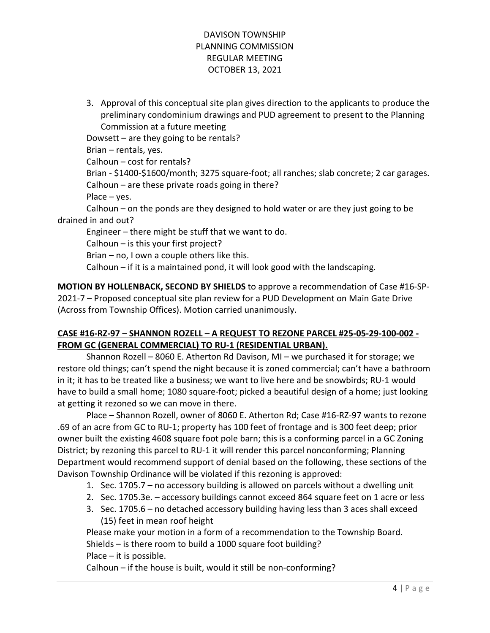3. Approval of this conceptual site plan gives direction to the applicants to produce the preliminary condominium drawings and PUD agreement to present to the Planning Commission at a future meeting

Dowsett – are they going to be rentals? Brian – rentals, yes. Calhoun – cost for rentals? Brian - \$1400-\$1600/month; 3275 square-foot; all ranches; slab concrete; 2 car garages. Calhoun – are these private roads going in there? Place – yes. Calhoun – on the ponds are they designed to hold water or are they just going to be drained in and out?

 Engineer – there might be stuff that we want to do. Calhoun – is this your first project?

Brian – no, I own a couple others like this.

Calhoun – if it is a maintained pond, it will look good with the landscaping.

MOTION BY HOLLENBACK, SECOND BY SHIELDS to approve a recommendation of Case #16-SP-2021-7 – Proposed conceptual site plan review for a PUD Development on Main Gate Drive (Across from Township Offices). Motion carried unanimously.

# CASE #16-RZ-97 – SHANNON ROZELL – A REQUEST TO REZONE PARCEL #25-05-29-100-002 - FROM GC (GENERAL COMMERCIAL) TO RU-1 (RESIDENTIAL URBAN).

 Shannon Rozell – 8060 E. Atherton Rd Davison, MI – we purchased it for storage; we restore old things; can't spend the night because it is zoned commercial; can't have a bathroom in it; it has to be treated like a business; we want to live here and be snowbirds; RU-1 would have to build a small home; 1080 square-foot; picked a beautiful design of a home; just looking at getting it rezoned so we can move in there.

 Place – Shannon Rozell, owner of 8060 E. Atherton Rd; Case #16-RZ-97 wants to rezone .69 of an acre from GC to RU-1; property has 100 feet of frontage and is 300 feet deep; prior owner built the existing 4608 square foot pole barn; this is a conforming parcel in a GC Zoning District; by rezoning this parcel to RU-1 it will render this parcel nonconforming; Planning Department would recommend support of denial based on the following, these sections of the Davison Township Ordinance will be violated if this rezoning is approved:

- 1. Sec. 1705.7 no accessory building is allowed on parcels without a dwelling unit
- 2. Sec. 1705.3e. accessory buildings cannot exceed 864 square feet on 1 acre or less
- 3. Sec. 1705.6 no detached accessory building having less than 3 aces shall exceed (15) feet in mean roof height

Please make your motion in a form of a recommendation to the Township Board. Shields – is there room to build a 1000 square foot building? Place – it is possible.

Calhoun – if the house is built, would it still be non-conforming?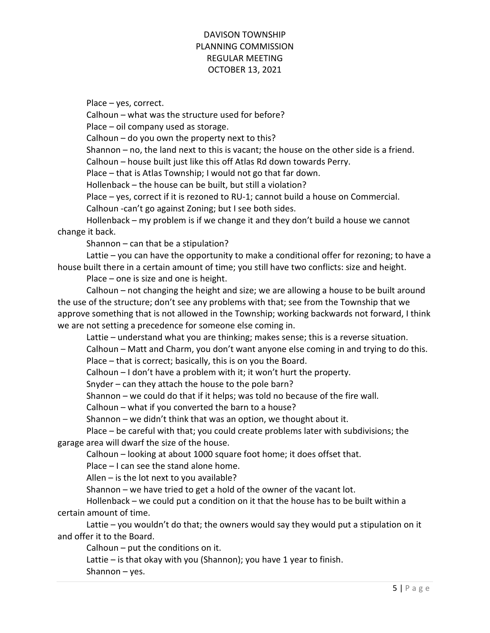Place – yes, correct.

Calhoun – what was the structure used for before?

Place – oil company used as storage.

Calhoun – do you own the property next to this?

Shannon – no, the land next to this is vacant; the house on the other side is a friend.

Calhoun – house built just like this off Atlas Rd down towards Perry.

Place – that is Atlas Township; I would not go that far down.

Hollenback – the house can be built, but still a violation?

Place – yes, correct if it is rezoned to RU-1; cannot build a house on Commercial.

Calhoun -can't go against Zoning; but I see both sides.

Hollenback – my problem is if we change it and they don't build a house we cannot change it back.

Shannon – can that be a stipulation?

 Lattie – you can have the opportunity to make a conditional offer for rezoning; to have a house built there in a certain amount of time; you still have two conflicts: size and height.

Place – one is size and one is height.

 Calhoun – not changing the height and size; we are allowing a house to be built around the use of the structure; don't see any problems with that; see from the Township that we approve something that is not allowed in the Township; working backwards not forward, I think we are not setting a precedence for someone else coming in.

Lattie – understand what you are thinking; makes sense; this is a reverse situation.

Calhoun – Matt and Charm, you don't want anyone else coming in and trying to do this.

Place – that is correct; basically, this is on you the Board.

Calhoun – I don't have a problem with it; it won't hurt the property.

Snyder – can they attach the house to the pole barn?

Shannon – we could do that if it helps; was told no because of the fire wall.

Calhoun – what if you converted the barn to a house?

Shannon – we didn't think that was an option, we thought about it.

 Place – be careful with that; you could create problems later with subdivisions; the garage area will dwarf the size of the house.

Calhoun – looking at about 1000 square foot home; it does offset that.

Place – I can see the stand alone home.

Allen – is the lot next to you available?

Shannon – we have tried to get a hold of the owner of the vacant lot.

 Hollenback – we could put a condition on it that the house has to be built within a certain amount of time.

 Lattie – you wouldn't do that; the owners would say they would put a stipulation on it and offer it to the Board.

Calhoun – put the conditions on it.

Lattie – is that okay with you (Shannon); you have 1 year to finish.

Shannon – yes.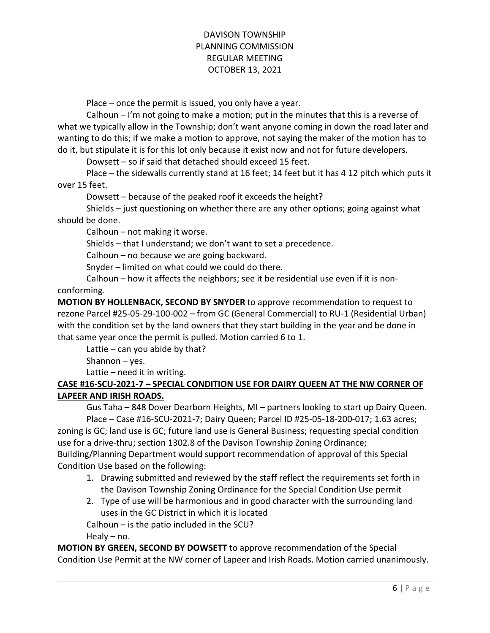Place – once the permit is issued, you only have a year.

 Calhoun – I'm not going to make a motion; put in the minutes that this is a reverse of what we typically allow in the Township; don't want anyone coming in down the road later and wanting to do this; if we make a motion to approve, not saying the maker of the motion has to do it, but stipulate it is for this lot only because it exist now and not for future developers.

Dowsett – so if said that detached should exceed 15 feet.

 Place – the sidewalls currently stand at 16 feet; 14 feet but it has 4 12 pitch which puts it over 15 feet.

Dowsett – because of the peaked roof it exceeds the height?

 Shields – just questioning on whether there are any other options; going against what should be done.

Calhoun – not making it worse.

Shields – that I understand; we don't want to set a precedence.

Calhoun – no because we are going backward.

Snyder – limited on what could we could do there.

 Calhoun – how it affects the neighbors; see it be residential use even if it is nonconforming.

MOTION BY HOLLENBACK, SECOND BY SNYDER to approve recommendation to request to rezone Parcel #25-05-29-100-002 – from GC (General Commercial) to RU-1 (Residential Urban) with the condition set by the land owners that they start building in the year and be done in that same year once the permit is pulled. Motion carried 6 to 1.

Lattie  $-$  can you abide by that?

Shannon – yes.

Lattie – need it in writing.

### CASE #16-SCU-2021-7 – SPECIAL CONDITION USE FOR DAIRY QUEEN AT THE NW CORNER OF LAPEER AND IRISH ROADS.

 Gus Taha – 848 Dover Dearborn Heights, MI – partners looking to start up Dairy Queen. Place – Case #16-SCU-2021-7; Dairy Queen; Parcel ID #25-05-18-200-017; 1.63 acres;

zoning is GC; land use is GC; future land use is General Business; requesting special condition use for a drive-thru; section 1302.8 of the Davison Township Zoning Ordinance;

Building/Planning Department would support recommendation of approval of this Special Condition Use based on the following:

- 1. Drawing submitted and reviewed by the staff reflect the requirements set forth in the Davison Township Zoning Ordinance for the Special Condition Use permit
- 2. Type of use will be harmonious and in good character with the surrounding land uses in the GC District in which it is located
- Calhoun is the patio included in the SCU?

Healy – no.

MOTION BY GREEN, SECOND BY DOWSETT to approve recommendation of the Special Condition Use Permit at the NW corner of Lapeer and Irish Roads. Motion carried unanimously.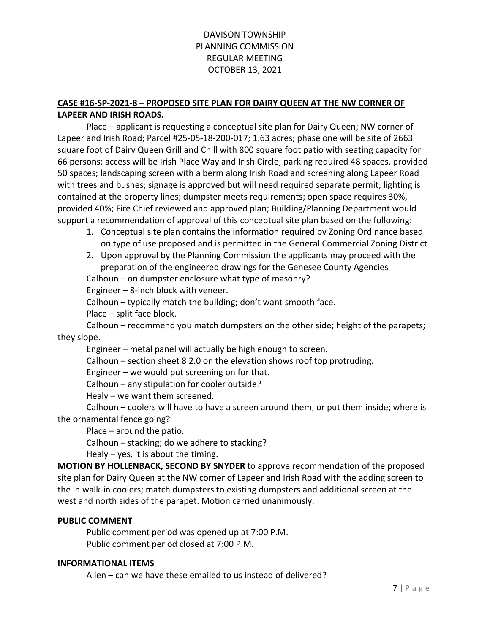### CASE #16-SP-2021-8 – PROPOSED SITE PLAN FOR DAIRY QUEEN AT THE NW CORNER OF LAPEER AND IRISH ROADS.

 Place – applicant is requesting a conceptual site plan for Dairy Queen; NW corner of Lapeer and Irish Road; Parcel #25-05-18-200-017; 1.63 acres; phase one will be site of 2663 square foot of Dairy Queen Grill and Chill with 800 square foot patio with seating capacity for 66 persons; access will be Irish Place Way and Irish Circle; parking required 48 spaces, provided 50 spaces; landscaping screen with a berm along Irish Road and screening along Lapeer Road with trees and bushes; signage is approved but will need required separate permit; lighting is contained at the property lines; dumpster meets requirements; open space requires 30%, provided 40%; Fire Chief reviewed and approved plan; Building/Planning Department would support a recommendation of approval of this conceptual site plan based on the following:

- 1. Conceptual site plan contains the information required by Zoning Ordinance based on type of use proposed and is permitted in the General Commercial Zoning District
- 2. Upon approval by the Planning Commission the applicants may proceed with the preparation of the engineered drawings for the Genesee County Agencies

Calhoun – on dumpster enclosure what type of masonry?

Engineer – 8-inch block with veneer.

Calhoun – typically match the building; don't want smooth face.

Place – split face block.

Calhoun – recommend you match dumpsters on the other side; height of the parapets; they slope.

Engineer – metal panel will actually be high enough to screen.

Calhoun – section sheet 8 2.0 on the elevation shows roof top protruding.

Engineer – we would put screening on for that.

Calhoun – any stipulation for cooler outside?

Healy – we want them screened.

Calhoun – coolers will have to have a screen around them, or put them inside; where is the ornamental fence going?

Place – around the patio.

Calhoun – stacking; do we adhere to stacking?

Healy  $-$  yes, it is about the timing.

MOTION BY HOLLENBACK, SECOND BY SNYDER to approve recommendation of the proposed site plan for Dairy Queen at the NW corner of Lapeer and Irish Road with the adding screen to the in walk-in coolers; match dumpsters to existing dumpsters and additional screen at the west and north sides of the parapet. Motion carried unanimously.

#### PUBLIC COMMENT

Public comment period was opened up at 7:00 P.M. Public comment period closed at 7:00 P.M.

#### INFORMATIONAL ITEMS

Allen – can we have these emailed to us instead of delivered?